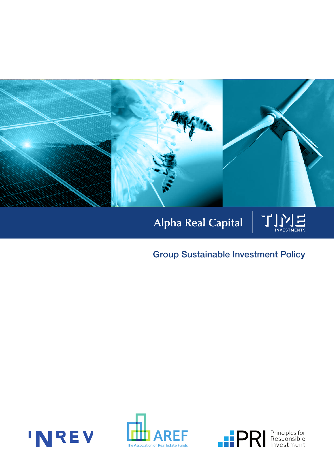

# Alpha Real Capital

## Group Sustainable Investment Policy





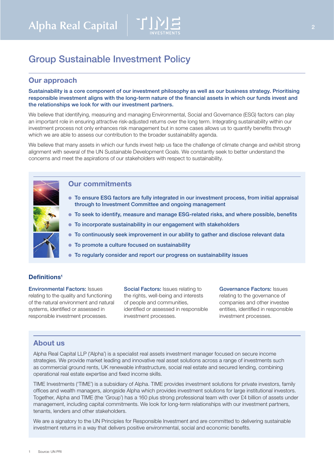

### Group Sustainable Investment Policy

### Our approach

Sustainability is a core component of our investment philosophy as well as our business strategy. Prioritising responsible investment aligns with the long-term nature of the financial assets in which our funds invest and the relationships we look for with our investment partners.

We believe that identifying, measuring and managing Environmental, Social and Governance (ESG) factors can play an important role in ensuring attractive risk-adjusted returns over the long term. Integrating sustainability within our investment process not only enhances risk management but in some cases allows us to quantify benefits through which we are able to assess our contribution to the broader sustainability agenda.

We believe that many assets in which our funds invest help us face the challenge of climate change and exhibit strong alignment with several of the UN Sustainable Development Goals. We constantly seek to better understand the concerns and meet the aspirations of our stakeholders with respect to sustainability.

#### Our commitments

- To ensure ESG factors are fully integrated in our investment process, from initial appraisal through to Investment Committee and ongoing management
- To seek to identify, measure and manage ESG-related risks, and where possible, benefits
- To incorporate sustainability in our engagement with stakeholders
- To continuously seek improvement in our ability to gather and disclose relevant data
- To promote a culture focused on sustainability
- To regularly consider and report our progress on sustainability issues

#### Definitions<sup>1</sup>

Environmental Factors: Issues relating to the quality and functioning of the natural environment and natural systems, identified or assessed in responsible investment processes.

Social Factors: Issues relating to the rights, well-being and interests of people and communities, identified or assessed in responsible investment processes.

Governance Factors: Issues relating to the governance of companies and other investee entities, identified in responsible investment processes.

#### About us

Alpha Real Capital LLP ('Alpha') is a specialist real assets investment manager focused on secure income strategies. We provide market leading and innovative real asset solutions across a range of investments such as commercial ground rents, UK renewable infrastructure, social real estate and secured lending, combining operational real estate expertise and fixed income skills.

TIME Investments ('TIME') is a subsidiary of Alpha. TIME provides investment solutions for private investors, family offices and wealth managers, alongside Alpha which provides investment solutions for large institutional investors. Together, Alpha and TIME (the 'Group') has a 160 plus strong professional team with over £4 billion of assets under management, including capital commitments. We look for long-term relationships with our investment partners, tenants, lenders and other stakeholders.

We are a signatory to the UN Principles for Responsible Investment and are committed to delivering sustainable investment returns in a way that delivers positive environmental, social and economic benefits.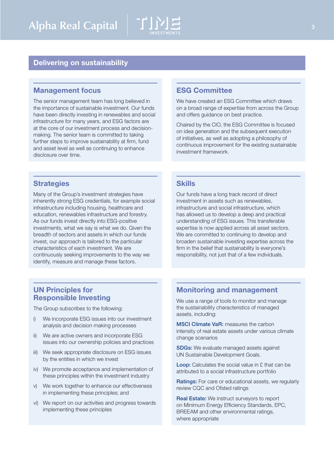

#### Delivering on sustainability

#### Management focus

The senior management team has long believed in the importance of sustainable investment. Our funds have been directly investing in renewables and social infrastructure for many years, and ESG factors are at the core of our investment process and decisionmaking. The senior team is committed to taking further steps to improve sustainability at firm, fund and asset level as well as continuing to enhance disclosure over time.

#### **Strategies**

Many of the Group's investment strategies have inherently strong ESG credentials, for example social infrastructure including housing, healthcare and education, renewables infrastructure and forestry. As our funds invest directly into ESG-positive investments, what we say is what we do. Given the breadth of sectors and assets in which our funds invest, our approach is tailored to the particular characteristics of each investment. We are continuously seeking improvements to the way we identify, measure and manage these factors.

#### ESG Committee

We have created an ESG Committee which draws on a broad range of expertise from across the Group and offers guidance on best practice.

Chaired by the CIO, the ESG Committee is focused on idea generation and the subsequent execution of initiatives, as well as adopting a philosophy of continuous improvement for the existing sustainable investment framework.

#### **Skills**

Our funds have a long track record of direct investment in assets such as renewables, infrastructure and social infrastructure, which has allowed us to develop a deep and practical understanding of ESG issues. This transferable expertise is now applied across all asset sectors. We are committed to continuing to develop and broaden sustainable investing expertise across the firm in the belief that sustainability is everyone's responsibility, not just that of a few individuals.

#### UN Principles for Responsible Investing

The Group subscribes to the following:

- i) We incorporate ESG issues into our investment analysis and decision making processes
- ii) We are active owners and incorporate ESG issues into our ownership policies and practices
- iii) We seek appropriate disclosure on ESG issues by the entities in which we invest
- iv) We promote acceptance and implementation of these principles within the investment industry
- v) We work together to enhance our effectiveness in implementing these principles; and
- vi) We report on our activities and progress towards implementing these principles

#### Monitoring and management

We use a range of tools to monitor and manage the sustainability characteristics of managed assets, including:

MSCI Climate VaR: measures the carbon intensity of real estate assets under various climate change scenarios

SDGs: We evaluate managed assets against UN Sustainable Development Goals.

Loop: Calculates the social value in £ that can be attributed to a social infrastructure portfolio

Ratings: For care or educational assets, we regularly review CQC and Ofsted ratings

Real Estate: We instruct surveyors to report on Minimum Energy Efficiency Standards, EPC, BREEAM and other environmental ratings, where appropriate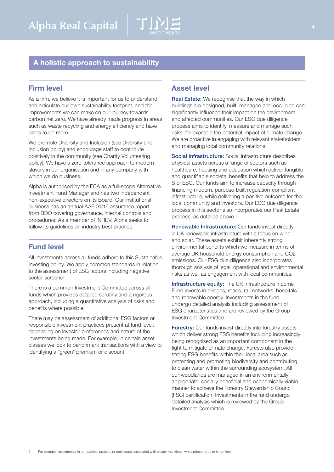

### A holistic approach to sustainability

#### Firm level

As a firm, we believe it is important for us to understand and articulate our own sustainability footprint, and the improvements we can make on our journey towards carbon net zero. We have already made progress in areas such as waste recycling and energy efficiency and have plans to do more.

We promote Diversity and Inclusion (see Diversity and Inclusion policy) and encourage staff to contribute positively in the community (see Charity Volunteering policy). We have a zero-tolerance approach to modern slavery in our organisation and in any company with which we do business.

Alpha is authorised by the FCA as a full-scope Alternative Investment Fund Manager and has two independent non-executive directors on its Board. Our institutional business has an annual AAF 01/16 assurance report from BDO covering governance, internal controls and procedures. As a member of INREV, Alpha seeks to follow its guidelines on industry best practice.

#### Fund level

All investments across all funds adhere to this Sustainable Investing policy. We apply common standards in relation to the assessment of ESG factors including negative sector screens<sup>2</sup>.

There is a common Investment Committee across all funds which provides detailed scrutiny and a rigorous approach, including a quantitative analysis of risks and benefits where possible.

There may be assessment of additional ESG factors or responsible investment practices present at fund level, depending on investor preferences and nature of the investments being made. For example, in certain asset classes we look to benchmark transactions with a view to identifying a "green" premium or discount.

#### Asset level

Real Estate: We recognise that the way in which buildings are designed, built, managed and occupied can significantly influence their impact on the environment and affected communities. Our ESG due diligence process aims to identify, measure and manage such risks, for example the potential impact of climate change. We are proactive in engaging with relevant stakeholders and managing local community relations.

Social Infrastructure: Social infrastructure describes physical assets across a range of sectors such as healthcare, housing and education which deliver tangible and quantifiable societal benefits that help to address the S of ESG. Our funds aim to increase capacity through financing modern, purpose-built regulation-compliant infrastructure, while delivering a positive outcome for the local community and investors. Our ESG due diligence process in this sector also incorporates our Real Estate process, as detailed above.

Renewable Infrastructure: Our funds invest directly in UK renewable infrastructure with a focus on wind and solar. These assets exhibit inherently strong environmental benefits which we measure in terms of average UK household energy consumption and CO2 emissions. Our ESG due diligence also incorporates thorough analysis of legal, operational and environmental risks as well as engagement with local communities.

Infrastructure equity: The UK Infrastructure Income Fund invests in bridges, roads, rail networks, hospitals and renewable energy. Investments in the fund undergo detailed analysis including assessment of ESG characteristics and are reviewed by the Group Investment Committee.

Forestry: Our funds invest directly into forestry assets which deliver strong ESG benefits including increasingly being recognised as an important component in the fight to mitigate climate change. Forests also provide strong ESG benefits within their local area such as protecting and promoting biodiversity and contributing to clean water within the surrounding ecosystem. All our woodlands are managed in an environmentally appropriate, socially beneficial and economically viable manner to achieve the Forestry Stewardship Council (FSC) certification. Investments in the fund undergo detailed analysis which is reviewed by the Group Investment Committee.